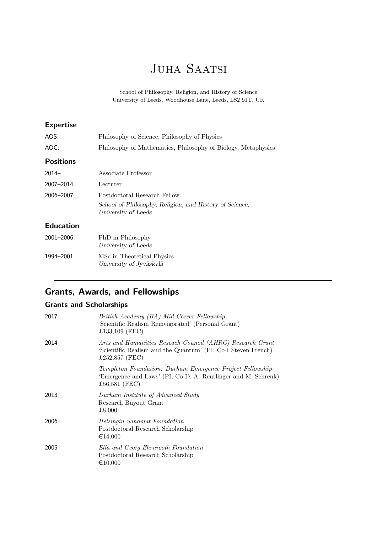# JUHA SAATSI

School of Philosophy, Religion, and History of Science University of Leeds, Woodhouse Lane, Leeds, LS2 9JT, UK

| <b>Expertise</b> |                                                                                |
|------------------|--------------------------------------------------------------------------------|
| AOS:             | Philosophy of Science, Philosophy of Physics                                   |
| AOC:             | Philosophy of Mathematics, Philosophy of Biology, Metaphysics                  |
| <b>Positions</b> |                                                                                |
| $2014-$          | Associate Professor                                                            |
| 2007-2014        | Lecturer                                                                       |
| 2006-2007        | Postdoctoral Research Fellow                                                   |
|                  | School of Philosophy, Religion, and History of Science,<br>University of Leeds |
| <b>Education</b> |                                                                                |
| 2001-2006        | PhD in Philosophy<br>University of Leeds                                       |
| 1994-2001        | MSc in Theoretical Physics<br>University of Jyväskylä                          |

# Grants, Awards, and Fellowships

## Grants and Scholarships

| 2017 | British Academy (BA) Mid-Career Fellowship<br>'Scientific Realism Reinvigorated' (Personal Grant)<br>£133,109 (FEC)                          |
|------|----------------------------------------------------------------------------------------------------------------------------------------------|
| 2014 | Arts and Humanities Reseach Council (AHRC) Research Grant<br>'Scientific Realism and the Quantum' (PI; Co-I Steven French)<br>£252,857 (FEC) |
|      | Templeton Foundation: Durham Emergence Project Fellowship<br>'Emergence and Laws' (PI; Co-I's A. Reutlinger and M. Schrenk)<br>£56,581 (FEC) |
| 2013 | Durham Institute of Advanced Study<br>Research Buyout Grant<br>£8.000                                                                        |
| 2006 | <i>Helsingin Sanomat Foundation</i><br>Postdoctoral Research Scholarship<br>€14.000                                                          |
| 2005 | Ella and Georg Ehrnrooth Foundation<br>Postdoctoral Research Scholarship<br>$\epsilon$ 10.000                                                |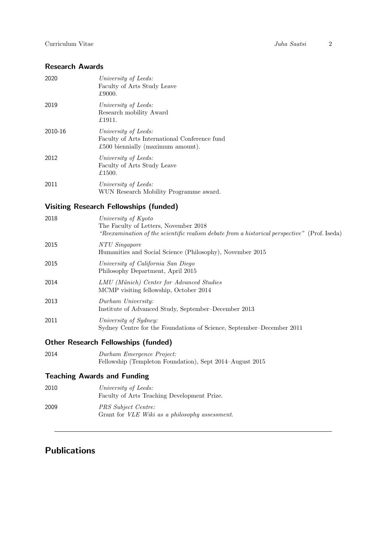## Research Awards

| 2020    | University of Leeds:<br>Faculty of Arts Study Leave<br>£9000.                                              |
|---------|------------------------------------------------------------------------------------------------------------|
| 2019    | University of Leeds:<br>Research mobility Award<br>£1911.                                                  |
| 2010-16 | University of Leeds:<br>Faculty of Arts International Conference fund<br>£500 biennially (maximum amount). |
| 2012    | University of Leeds:<br>Faculty of Arts Study Leave<br>£1500.                                              |
| 2011    | University of Leeds:<br>WUN Research Mobility Programme award.                                             |
|         |                                                                                                            |

# Visiting Research Fellowships (funded)

| 2018 | University of Kyoto<br>The Faculty of Letters, November 2018<br>"Reexamination of the scientific realism debate from a historical perspective" (Prof. Iseda) |
|------|--------------------------------------------------------------------------------------------------------------------------------------------------------------|
| 2015 | NTU Singapore<br>Humanities and Social Science (Philosophy), November 2015                                                                                   |
| 2015 | University of California San Diego<br>Philosophy Department, April 2015                                                                                      |
| 2014 | LMU (Münich) Center for Advanced Studies<br>MCMP visiting fellowship, October 2014                                                                           |
| 2013 | Durham University:<br>Institute of Advanced Study, September–December 2013                                                                                   |
| 2011 | University of Sydney:<br>Sydney Centre for the Foundations of Science, September-December 2011                                                               |

## Other Research Fellowships (funded)

| 2014 | Durham Emergence Project:                                |
|------|----------------------------------------------------------|
|      | Fellowship (Templeton Foundation), Sept 2014–August 2015 |

# Teaching Awards and Funding

| 2010 | University of Leeds:<br>Faculty of Arts Teaching Development Prize.           |
|------|-------------------------------------------------------------------------------|
| 2009 | PRS Subject Centre:<br>Grant for <i>VLE Wiki as a philosophy assessment</i> . |

# Publications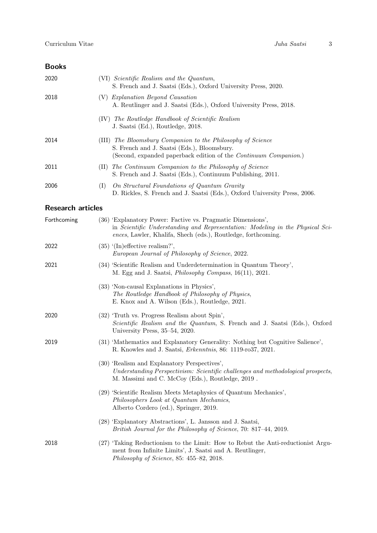## Books

| 2020 | (VI) Scientific Realism and the Quantum,<br>S. French and J. Saatsi (Eds.), Oxford University Press, 2020.                                                                                |
|------|-------------------------------------------------------------------------------------------------------------------------------------------------------------------------------------------|
| 2018 | (V) Explanation Beyond Causation<br>A. Reutlinger and J. Saatsi (Eds.), Oxford University Press, 2018.                                                                                    |
|      | (IV) The Routledge Handbook of Scientific Realism<br>J. Saatsi (Ed.), Routledge, 2018.                                                                                                    |
| 2014 | The Bloomsbury Companion to the Philosophy of Science<br>(III)<br>S. French and J. Saatsi (Eds.), Bloomsbury.<br>(Second, expanded paperback edition of the <i>Continuum Companion</i> .) |
| 2011 | The Continuum Companion to the Philosophy of Science<br>(11)<br>S. French and J. Saatsi (Eds.), Continuum Publishing, 2011.                                                               |
| 2006 | On Structural Foundations of Quantum Gravity<br>(1)<br>D. Rickles, S. French and J. Saatsi (Eds.), Oxford University Press, 2006.                                                         |

## Research articles

| Forthcoming | (36) 'Explanatory Power: Factive vs. Pragmatic Dimensions',<br>in Scientific Understanding and Representation: Modeling in the Physical Sci-<br>ences, Lawler, Khalifa, Shech (eds.), Routledge, forthcoming. |
|-------------|---------------------------------------------------------------------------------------------------------------------------------------------------------------------------------------------------------------|
| 2022        | $(35)$ '(In)effective realism?',<br>European Journal of Philosophy of Science, 2022.                                                                                                                          |
| 2021        | (34) 'Scientific Realism and Underdetermination in Quantum Theory',<br>M. Egg and J. Saatsi, <i>Philosophy Compass</i> , 16(11), 2021.                                                                        |
|             | (33) 'Non-causal Explanations in Physics',<br>The Routledge Handbook of Philosophy of Physics,<br>E. Knox and A. Wilson (Eds.), Routledge, 2021.                                                              |
| 2020        | (32) Truth vs. Progress Realism about Spin',<br>Scientific Realism and the Quantum, S. French and J. Saatsi (Eds.), Oxford<br>University Press, 35–54, 2020.                                                  |
| 2019        | (31) 'Mathematics and Explanatory Generality: Nothing but Cognitive Salience',<br>R. Knowles and J. Saatsi, <i>Erkenntnis</i> , 86: 1119-ro37, 2021.                                                          |
|             | (30) 'Realism and Explanatory Perspectives',<br>Understanding Perspectivism: Scientific challenges and methodological prospects,<br>M. Massimi and C. McCoy (Eds.), Routledge, 2019.                          |
|             | (29) 'Scientific Realism Meets Metaphysics of Quantum Mechanics',<br>Philosophers Look at Quantum Mechanics,<br>Alberto Cordero (ed.), Springer, 2019.                                                        |
|             | (28) 'Explanatory Abstractions', L. Jansson and J. Saatsi,<br>British Journal for the Philosophy of Science, 70: 817-44, 2019.                                                                                |
| 2018        | (27) 'Taking Reductionism to the Limit: How to Rebut the Anti-reductionist Argu-<br>ment from Infinite Limits', J. Saatsi and A. Reutlinger,<br>Philosophy of Science, 85: $455-82$ , 2018.                   |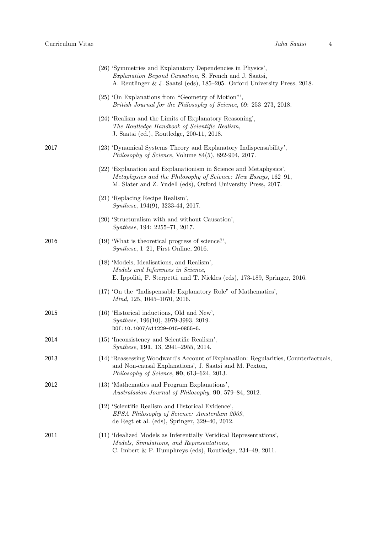|      | (26) 'Symmetries and Explanatory Dependencies in Physics',<br><i>Explanation Beyond Causation</i> , S. French and J. Saatsi,<br>A. Reutlinger & J. Saatsi (eds), 185–205. Oxford University Press, 2018. |
|------|----------------------------------------------------------------------------------------------------------------------------------------------------------------------------------------------------------|
|      | (25) 'On Explanations from "Geometry of Motion"',<br>British Journal for the Philosophy of Science, 69: 253–273, 2018.                                                                                   |
|      | $(24)$ 'Realism and the Limits of Explanatory Reasoning',<br>The Routledge Handbook of Scientific Realism,<br>J. Saatsi (ed.), Routledge, 200-11, 2018.                                                  |
| 2017 | (23) 'Dynamical Systems Theory and Explanatory Indispensability',<br>Philosophy of Science, Volume $84(5)$ , 892-904, 2017.                                                                              |
|      | (22) 'Explanation and Explanationism in Science and Metaphysics',<br>Metaphysics and the Philosophy of Science: New Essays, 162-91,<br>M. Slater and Z. Yudell (eds), Oxford University Press, 2017.     |
|      | (21) 'Replacing Recipe Realism',<br>Synthese, 194(9), 3233-44, 2017.                                                                                                                                     |
|      | (20) 'Structuralism with and without Causation',<br><i>Synthese</i> , 194: 2255–71, 2017.                                                                                                                |
| 2016 | $(19)$ 'What is theoretical progress of science?',<br><i>Synthese</i> , $1-21$ , First Online, 2016.                                                                                                     |
|      | (18) 'Models, Idealisations, and Realism',<br>Models and Inferences in Science,<br>E. Ippoliti, F. Sterpetti, and T. Nickles (eds), 173-189, Springer, 2016.                                             |
|      | (17) On the "Indispensable Explanatory Role" of Mathematics',<br>Mind, 125, 1045–1070, 2016.                                                                                                             |
| 2015 | $(16)$ 'Historical inductions, Old and New',<br>Synthese, 196(10), 3979-3993, 2019.<br>DOI:10.1007/s11229-015-0855-5.                                                                                    |
| 2014 | (15) 'Inconsistency and Scientific Realism',<br>Synthese, 191, 13, 2941-2955, 2014.                                                                                                                      |
| 2013 | (14) 'Reassessing Woodward's Account of Explanation: Regularities, Counterfactuals.<br>and Non-causal Explanations', J. Saatsi and M. Pexton,<br>Philosophy of Science, $80, 613-624, 2013$ .            |
| 2012 | (13) 'Mathematics and Program Explanations',<br>Australasian Journal of Philosophy, 90, 579-84, 2012.                                                                                                    |
|      | (12) 'Scientific Realism and Historical Evidence',<br>EPSA Philosophy of Science: Amsterdam 2009,<br>de Regt et al. (eds), Springer, $329-40$ , $2012$ .                                                 |
| 2011 | (11) 'Idealized Models as Inferentially Veridical Representations',<br>Models, Simulations, and Representations,<br>C. Imbert & P. Humphreys (eds), Routledge, $234-49$ , $2011$ .                       |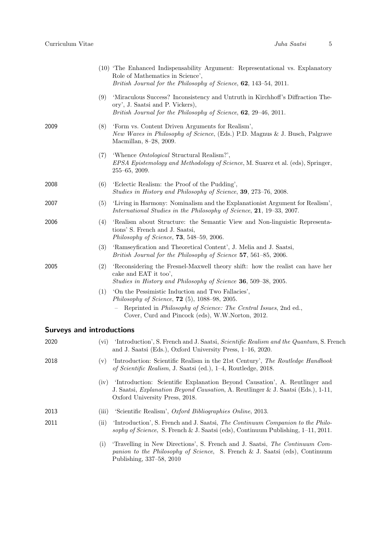|                                  |       | (10) 'The Enhanced Indispensability Argument: Representational vs. Explanatory<br>Role of Mathematics in Science',<br>British Journal for the Philosophy of Science, 62, 143-54, 2011.                   |
|----------------------------------|-------|----------------------------------------------------------------------------------------------------------------------------------------------------------------------------------------------------------|
|                                  | (9)   | 'Miraculous Success? Inconsistency and Untruth in Kirchhoff's Diffraction The-<br>ory', J. Saatsi and P. Vickers),<br>British Journal for the Philosophy of Science, 62, 29–46, 2011.                    |
| 2009                             | (8)   | 'Form vs. Content Driven Arguments for Realism',<br>New Waves in Philosophy of Science, (Eds.) P.D. Magnus & J. Busch, Palgrave<br>Macmillan, 8-28, 2009.                                                |
|                                  | (7)   | 'Whence <i>Ontological</i> Structural Realism?',<br><i>EPSA Epistemology and Methodology of Science, M. Suarez et al. (eds), Springer,</i><br>$255 - 65$ , $2009$ .                                      |
| 2008                             | (6)   | 'Eclectic Realism: the Proof of the Pudding',<br>Studies in History and Philosophy of Science, 39, 273–76, 2008.                                                                                         |
| 2007                             | (5)   | 'Living in Harmony: Nominalism and the Explanation ist Argument for Realism',<br>International Studies in the Philosophy of Science, 21, 19-33, 2007.                                                    |
| 2006                             | (4)   | 'Realism about Structure: the Semantic View and Non-linguistic Representa-<br>tions' S. French and J. Saatsi,<br>Philosophy of Science, <b>73</b> , 548–59, 2006.                                        |
|                                  | (3)   | 'Ramsey fication and Theoretical Content', J. Melia and J. Saatsi,<br>British Journal for the Philosophy of Science 57, 561–85, 2006.                                                                    |
| 2005                             | (2)   | 'Reconsidering the Fresnel-Maxwell theory shift: how the realist can have her<br>cake and EAT it too',<br>Studies in History and Philosophy of Science 36, 509-38, 2005.                                 |
|                                  | (1)   | 'On the Pessimistic Induction and Two Fallacies',<br>Philosophy of Science, $72$ (5), $1088-98$ , $2005$ .                                                                                               |
|                                  |       | Reprinted in <i>Philosophy of Science: The Central Issues</i> , 2nd ed.,<br>Cover, Curd and Pincock (eds), W.W.Norton, 2012.                                                                             |
| <b>Surveys and introductions</b> |       |                                                                                                                                                                                                          |
| 2020                             | (vi)  | 'Introduction', S. French and J. Saatsi, Scientific Realism and the Quantum, S. French<br>and J. Saatsi (Eds.), Oxford University Press, 1-16, 2020.                                                     |
| 2018                             | (v)   | 'Introduction: Scientific Realism in the 21st Century', The Routledge Handbook<br>of Scientific Realism, J. Saatsi (ed.), 1–4, Routledge, 2018.                                                          |
|                                  | (iv)  | 'Introduction: Scientific Explanation Beyond Causation', A. Reutlinger and<br>J. Saatsi, <i>Explanation Beyond Causation</i> , A. Reutlinger & J. Saatsi (Eds.), 1-11,<br>Oxford University Press, 2018. |
| 2013                             | (iii) | 'Scientific Realism', Oxford Bibliographies Online, 2013.                                                                                                                                                |
| 2011                             | (ii)  | 'Introduction', S. French and J. Saatsi, The Continuum Companion to the Philo-<br>sophy of Science, S. French & J. Saatsi (eds), Continuum Publishing, $1-11$ , 2011.                                    |
|                                  | (i)   | 'Travelling in New Directions', S. French and J. Saatsi, The Continuum Com-<br>panion to the Philosophy of Science, S. French & J. Saatsi (eds), Continuum<br>Publishing, 337-58, 2010                   |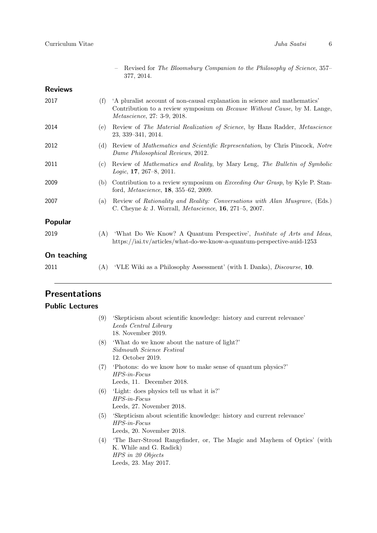| Revised for The Bloomsbury Companion to the Philosophy of Science, 357– |  |  |  |  |  |
|-------------------------------------------------------------------------|--|--|--|--|--|
| 377, 2014.                                                              |  |  |  |  |  |

# Reviews

| 2017           | (f) | A pluralist account of non-causal explanation in science and mathematics'<br>Contribution to a review symposium on <i>Because Without Cause</i> , by M. Lange,<br><i>Metascience</i> , 27: 3-9, 2018. |
|----------------|-----|-------------------------------------------------------------------------------------------------------------------------------------------------------------------------------------------------------|
| 2014           | (e) | Review of The Material Realization of Science, by Hans Radder, Metascience<br>$23, 339 - 341, 2014.$                                                                                                  |
| 2012           | (d) | Review of <i>Mathematics and Scientific Representation</i> , by Chris Pincock, <i>Notre</i><br>Dame Philosophical Reviews, 2012.                                                                      |
| 2011           | (c) | Review of Mathematics and Reality, by Mary Leng, The Bulletin of Symbolic<br><i>Logic</i> , <b>17</b> , 267–8, 2011.                                                                                  |
| 2009           | (b) | Contribution to a review symposium on <i>Exceeding Our Grasp</i> , by Kyle P. Stan-<br>ford, <i>Metascience</i> , <b>18</b> , $355-62$ , $2009$ .                                                     |
| 2007           | (a) | Review of Rationality and Reality: Conversations with Alan Musgrave, (Eds.)<br>C. Cheyne & J. Worrall, <i>Metascience</i> , <b>16</b> , 271–5, 2007.                                                  |
| <b>Popular</b> |     |                                                                                                                                                                                                       |
| 2019           | (A) | 'What Do We Know? A Quantum Perspective', <i>Institute of Arts and Ideas</i> ,<br>https://iai.tv/articles/what-do-we-know-a-quantum-perspective-auid-1253                                             |
| On teaching    |     |                                                                                                                                                                                                       |
| 2011           | (A) | 'VLE Wiki as a Philosophy Assessment' (with I. Danka), <i>Discourse</i> , 10.                                                                                                                         |

# Presentations

# Public Lectures

| (9) | 'Skepticism about scientific knowledge: history and current relevance'<br>Leeds Central Library<br>18. November 2019.                          |
|-----|------------------------------------------------------------------------------------------------------------------------------------------------|
| (8) | 'What do we know about the nature of light?'<br>Sidmouth Science Festival<br>12. October 2019.                                                 |
| (7) | Photons: do we know how to make sense of quantum physics?<br>$HPS-in-Focus$<br>Leeds, 11. December 2018.                                       |
| (6) | 'Light: does physics tell us what it is?'<br>$HPS-in-Focus$<br>Leeds, 27. November 2018.                                                       |
| (5) | 'Skepticism about scientific knowledge: history and current relevance'<br>$HPS-in-Focus$<br>Leeds, 20. November 2018.                          |
| (4) | The Barr-Stroud Rangefinder, or, The Magic and Mayhem of Optics' (with<br>K. While and G. Radick)<br>HPS in 20 Objects<br>Leeds, 23. May 2017. |
|     |                                                                                                                                                |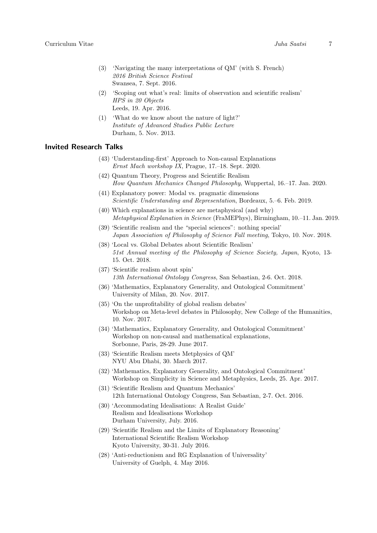- (3) 'Navigating the many interpretations of QM' (with S. French) 2016 British Science Festival Swansea, 7. Sept. 2016.
- (2) 'Scoping out what's real: limits of observation and scientific realism' HPS in 20 Objects Leeds, 19. Apr. 2016.
- (1) 'What do we know about the nature of light?' Institute of Advanced Studies Public Lecture Durham, 5. Nov. 2013.

#### Invited Research Talks

- (43) 'Understanding-first' Approach to Non-causal Explanations Ernst Mach workshop IX, Prague, 17.–18. Sept. 2020.
- (42) Quantum Theory, Progress and Scientific Realism How Quantum Mechanics Changed Philosophy, Wuppertal, 16.–17. Jan. 2020.
- (41) Explanatory power: Modal vs. pragmatic dimensions Scientific Understanding and Representation, Bordeaux, 5.–6. Feb. 2019.
- (40) Which explanations in science are metaphysical (and why) Metaphysical Explanation in Science (FraMEPhys), Birmingham, 10.–11. Jan. 2019.
- (39) 'Scientific realism and the "special sciences": nothing special' Japan Association of Philosophy of Science Fall meeting, Tokyo, 10. Nov. 2018.
- (38) 'Local vs. Global Debates about Scientific Realism' 51st Annual meeting of the Philosophy of Science Society, Japan, Kyoto, 13- 15. Oct. 2018.
- (37) 'Scientific realism about spin' 13th International Ontology Congress, San Sebastian, 2-6. Oct. 2018.
- (36) 'Mathematics, Explanatory Generality, and Ontological Commitment' University of Milan, 20. Nov. 2017.
- (35) 'On the unprofitability of global realism debates' Workshop on Meta-level debates in Philosophy, New College of the Humanities, 10. Nov. 2017.
- (34) 'Mathematics, Explanatory Generality, and Ontological Commitment' Workshop on non-causal and mathematical explanations, Sorbonne, Paris, 28-29. June 2017.
- (33) 'Scientific Realism meets Metphysics of QM' NYU Abu Dhabi, 30. March 2017.
- (32) 'Mathematics, Explanatory Generality, and Ontological Commitment' Workshop on Simplicity in Science and Metaphysics, Leeds, 25. Apr. 2017.
- (31) 'Scientific Realism and Quantum Mechanics' 12th International Ontology Congress, San Sebastian, 2-7. Oct. 2016.
- (30) 'Accommodating Idealisations: A Realist Guide' Realism and Idealisations Workshop Durham University, July. 2016.
- (29) 'Scientific Realism and the Limits of Explanatory Reasoning' International Scientific Realism Workshop Kyoto University, 30-31. July 2016.
- (28) 'Anti-reductionism and RG Explanation of Universality' University of Guelph, 4. May 2016.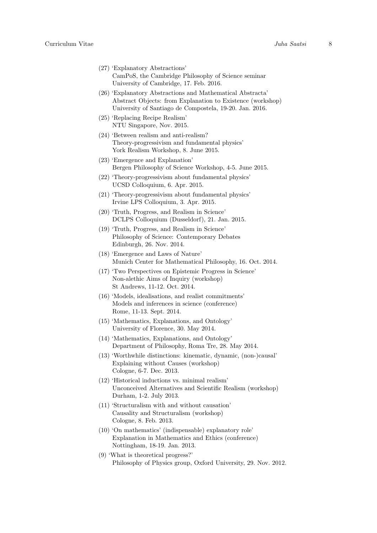- (27) 'Explanatory Abstractions' CamPoS, the Cambridge Philosophy of Science seminar University of Cambridge, 17. Feb. 2016.
- (26) 'Explanatory Abstractions and Mathematical Abstracta' Abstract Objects: from Explanation to Existence (workshop) University of Santiago de Compostela, 19-20. Jan. 2016.
- (25) 'Replacing Recipe Realism' NTU Singapore, Nov. 2015.
- (24) 'Between realism and anti-realism? Theory-progressivism and fundamental physics' York Realism Workshop, 8. June 2015.
- (23) 'Emergence and Explanation' Bergen Philosophy of Science Workshop, 4-5. June 2015.
- (22) 'Theory-progressivism about fundamental physics' UCSD Colloquium, 6. Apr. 2015.
- (21) 'Theory-progressivism about fundamental physics' Irvine LPS Colloquium, 3. Apr. 2015.
- (20) 'Truth, Progress, and Realism in Science' DCLPS Colloquium (Dusseldorf), 21. Jan. 2015.
- (19) 'Truth, Progress, and Realism in Science' Philosophy of Science: Contemporary Debates Edinburgh, 26. Nov. 2014.
- (18) 'Emergence and Laws of Nature' Munich Center for Mathematical Philosophy, 16. Oct. 2014.
- (17) 'Two Perspectives on Epistemic Progress in Science' Non-alethic Aims of Inquiry (workshop) St Andrews, 11-12. Oct. 2014.
- (16) 'Models, idealisations, and realist commitments' Models and inferences in science (conference) Rome, 11-13. Sept. 2014.
- (15) 'Mathematics, Explanations, and Ontology' University of Florence, 30. May 2014.
- (14) 'Mathematics, Explanations, and Ontology' Department of Philosophy, Roma Tre, 28. May 2014.
- (13) 'Worthwhile distinctions: kinematic, dynamic, (non-)causal' Explaining without Causes (workshop) Cologne, 6-7. Dec. 2013.
- (12) 'Historical inductions vs. minimal realism' Unconceived Alternatives and Scientific Realism (workshop) Durham, 1-2. July 2013.
- (11) 'Structuralism with and without causation' Causality and Structuralism (workshop) Cologne, 8. Feb. 2013.
- (10) 'On mathematics' (indispensable) explanatory role' Explanation in Mathematics and Ethics (conference) Nottingham, 18-19. Jan. 2013.
- (9) 'What is theoretical progress?' Philosophy of Physics group, Oxford University, 29. Nov. 2012.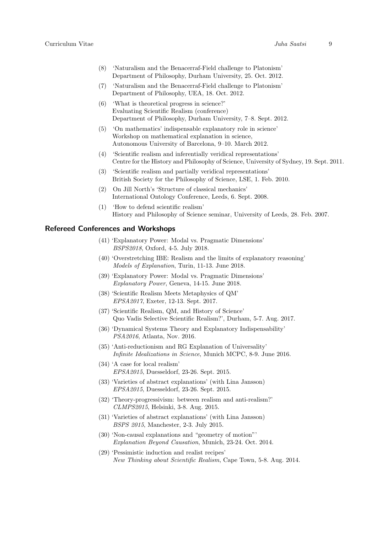- (8) 'Naturalism and the Benacerraf-Field challenge to Platonism' Department of Philosophy, Durham University, 25. Oct. 2012.
- (7) 'Naturalism and the Benacerraf-Field challenge to Platonism' Department of Philosophy, UEA, 18. Oct. 2012.
- (6) 'What is theoretical progress in science?' Evaluating Scientific Realism (conference) Department of Philosophy, Durham University, 7–8. Sept. 2012.
- (5) 'On mathematics' indispensable explanatory role in science' Workshop on mathematical explanation in science, Autonomous University of Barcelona, 9–10. March 2012.
- (4) 'Scientific realism and inferentially veridical representations' Centre for the History and Philosophy of Science, University of Sydney, 19. Sept. 2011.
- (3) 'Scientific realism and partially veridical representations' British Society for the Philosophy of Science, LSE, 1. Feb. 2010.
- (2) On Jill North's 'Structure of classical mechanics' International Ontology Conference, Leeds, 6. Sept. 2008.
- (1) 'How to defend scientific realism' History and Philosophy of Science seminar, University of Leeds, 28. Feb. 2007.

### Refereed Conferences and Workshops

- (41) 'Explanatory Power: Modal vs. Pragmatic Dimensions' BSPS2018, Oxford, 4-5. July 2018.
- (40) 'Overstretching IBE: Realism and the limits of explanatory reasoning' Models of Explanation, Turin, 11-13. June 2018.
- (39) 'Explanatory Power: Modal vs. Pragmatic Dimensions' Explanatory Power, Geneva, 14-15. June 2018.
- (38) 'Scientific Realism Meets Metaphysics of QM' EPSA2017, Exeter, 12-13. Sept. 2017.
- (37) 'Scientific Realism, QM, and History of Science' Quo Vadis Selective Scientific Realism?', Durham, 5-7. Aug. 2017.
- (36) 'Dynamical Systems Theory and Explanatory Indispensability' PSA2016, Atlanta, Nov. 2016.
- (35) 'Anti-reductionism and RG Explanation of Universality' Infinite Idealizations in Science, Munich MCPC, 8-9. June 2016.
- (34) 'A case for local realism' EPSA2015, Duesseldorf, 23-26. Sept. 2015.
- (33) 'Varieties of abstract explanations' (with Lina Jansson) EPSA2015, Duesseldorf, 23-26. Sept. 2015.
- (32) 'Theory-progressivism: between realism and anti-realism?' CLMPS2015, Helsinki, 3-8. Aug. 2015.
- (31) 'Varieties of abstract explanations' (with Lina Jansson) BSPS 2015, Manchester, 2-3. July 2015.
- (30) 'Non-causal explanations and "geometry of motion"' Explanation Beyond Causation, Munich, 23-24. Oct. 2014.
- (29) 'Pessimistic induction and realist recipes' New Thinking about Scientific Realism, Cape Town, 5-8. Aug. 2014.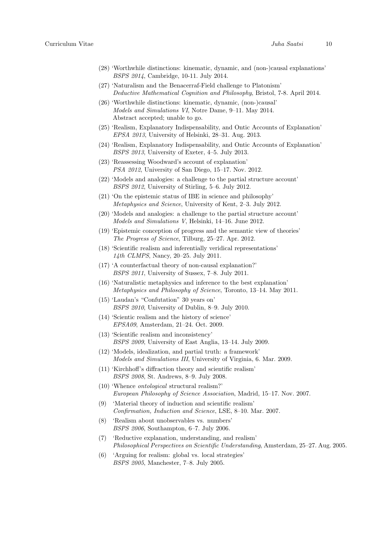- (28) 'Worthwhile distinctions: kinematic, dynamic, and (non-)causal explanations' BSPS 2014, Cambridge, 10-11. July 2014.
- (27) 'Naturalism and the Benacerraf-Field challenge to Platonism' Deductive Mathematical Cognition and Philosophy, Bristol, 7-8. April 2014.
- (26) 'Worthwhile distinctions: kinematic, dynamic, (non-)causal' Models and Simulations VI, Notre Dame, 9–11. May 2014. Abstract accepted; unable to go.
- (25) 'Realism, Explanatory Indispensability, and Ontic Accounts of Explanation' EPSA 2013, University of Helsinki, 28–31. Aug. 2013.
- (24) 'Realism, Explanatory Indispensability, and Ontic Accounts of Explanation' BSPS 2013, University of Exeter, 4–5. July 2013.
- (23) 'Reassessing Woodward's account of explanation' PSA 2012, University of San Diego, 15–17. Nov. 2012.
- (22) 'Models and analogies: a challenge to the partial structure account' BSPS 2012, University of Stirling, 5–6. July 2012.
- (21) 'On the epistemic status of IBE in science and philosophy' Metaphysics and Science, University of Kent, 2–3. July 2012.
- (20) 'Models and analogies: a challenge to the partial structure account' Models and Simulations V, Helsinki, 14–16. June 2012.
- (19) 'Epistemic conception of progress and the semantic view of theories' The Progress of Science, Tilburg, 25–27. Apr. 2012.
- (18) 'Scientific realism and inferentially veridical representations' 14th CLMPS, Nancy, 20–25. July 2011.
- (17) 'A counterfactual theory of non-causal explanation?' BSPS 2011, University of Sussex, 7–8. July 2011.
- (16) 'Naturalistic metaphysics and inference to the best explanation' Metaphysics and Philosophy of Science, Toronto, 13–14. May 2011.
- (15) 'Laudan's "Confutation" 30 years on' BSPS 2010, University of Dublin, 8–9. July 2010.
- (14) 'Scientic realism and the history of science' EPSA09, Amsterdam, 21–24. Oct. 2009.
- (13) 'Scientific realism and inconsistency' BSPS 2009, University of East Anglia, 13–14. July 2009.
- (12) 'Models, idealization, and partial truth: a framework' Models and Simulations III, University of Virginia, 6. Mar. 2009.
- (11) 'Kirchhoff's diffraction theory and scientific realism' BSPS 2008, St. Andrews, 8–9. July 2008.
- (10) 'Whence ontological structural realism?' European Philosophy of Science Association, Madrid, 15–17. Nov. 2007.
- (9) 'Material theory of induction and scientific realism' Confirmation, Induction and Science, LSE, 8–10. Mar. 2007.
- (8) 'Realism about unobservables vs. numbers' BSPS 2006, Southampton, 6–7. July 2006.
- (7) 'Reductive explanation, understanding, and realism' Philosophical Perspectives on Scientific Understanding, Amsterdam, 25–27. Aug. 2005.
- (6) 'Arguing for realism: global vs. local strategies' BSPS 2005, Manchester, 7–8. July 2005.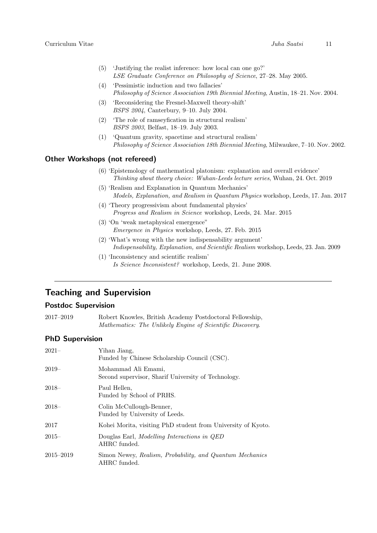- (5) 'Justifying the realist inference: how local can one go?' LSE Graduate Conference on Philosophy of Science, 27–28. May 2005.
- (4) 'Pessimistic induction and two fallacies' Philosophy of Science Association 19th Biennial Meeting, Austin, 18–21. Nov. 2004.
- (3) 'Reconsidering the Fresnel-Maxwell theory-shift' BSPS 2004, Canterbury, 9–10. July 2004.
- (2) 'The role of ramseyfication in structural realism' BSPS 2003, Belfast, 18–19. July 2003.
- (1) 'Quantum gravity, spacetime and structural realism' Philosophy of Science Association 18th Biennial Meeting, Milwaukee, 7–10. Nov. 2002.

### Other Workshops (not refereed)

- (6) 'Epistemology of mathematical platonism: explanation and overall evidence' Thinking about theory choice: Wuhan-Leeds lecture series, Wuhan, 24. Oct. 2019
- (5) 'Realism and Explanation in Quantum Mechanics' Models, Explanation, and Realism in Quantum Physics workshop, Leeds, 17. Jan. 2017
- (4) 'Theory progressivism about fundamental physics' Progress and Realism in Science workshop, Leeds, 24. Mar. 2015
- (3) 'On 'weak metaphysical emergence" Emergence in Physics workshop, Leeds, 27. Feb. 2015
- (2) 'What's wrong with the new indispensability argument' Indispensability, Explanation, and Scientific Realism workshop, Leeds, 23. Jan. 2009
- (1) 'Inconsistency and scientific realism' Is Science Inconsistent? workshop, Leeds, 21. June 2008.

# Teaching and Supervision

#### Postdoc Supervision

2017–2019 Robert Knowles, British Academy Postdoctoral Fellowship, Mathematics: The Unlikely Engine of Scientific Discovery.

#### PhD Supervision

| $2021 -$  | Yihan Jiang,<br>Funded by Chinese Scholarship Council (CSC).               |
|-----------|----------------------------------------------------------------------------|
| 2019–     | Mohammad Ali Emami,<br>Second supervisor, Sharif University of Technology. |
| 2018–     | Paul Hellen,<br>Funded by School of PRHS.                                  |
| 2018–     | Colin McCullough-Benner,<br>Funded by University of Leeds.                 |
| 2017      | Kohei Morita, visiting PhD student from University of Kyoto.               |
| $2015-$   | Douglas Earl, Modelling Interactions in QED<br>AHRC funded.                |
| 2015–2019 | Simon Newey, Realism, Probability, and Quantum Mechanics<br>AHRC funded.   |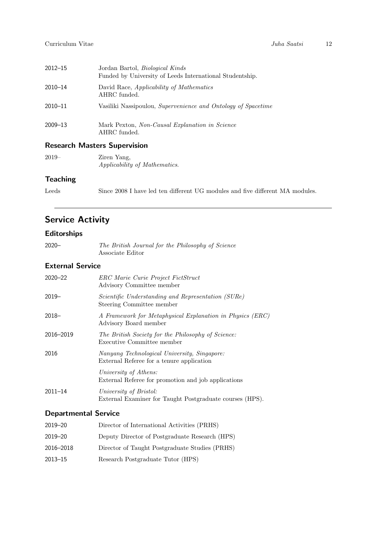| $2012 - 15$ | Jordan Bartol, <i>Biological Kinds</i><br>Funded by University of Leeds International Studentship. |
|-------------|----------------------------------------------------------------------------------------------------|
| 2010-14     | David Race, Applicability of Mathematics<br>AHRC funded.                                           |
| 2010-11     | Vasiliki Nassipoulou, Supervenience and Ontology of Spacetime                                      |
| 2009-13     | Mark Pexton, Non-Causal Explanation in Science<br>AHRC funded.                                     |

# Research Masters Supervision

| $2019-$ | Ziren Yang,                   |
|---------|-------------------------------|
|         | Applicability of Mathematics. |

## **Teaching**

Leeds Since 2008 I have led ten different UG modules and five different MA modules.

# Service Activity

## Editorships

2020– The British Journal for the Philosophy of Science Associate Editor

## External Service

| $2020 - 22$ | ERC Marie Curie Project FictStruct<br>Advisory Committee member                           |
|-------------|-------------------------------------------------------------------------------------------|
| $2019-$     | Scientific Understanding and Representation (SURe)<br>Steering Committee member           |
| $2018-$     | A Framework for Metaphysical Explanation in Physics (ERC)<br>Advisory Board member        |
| 2016-2019   | The British Society for the Philosophy of Science:<br>Executive Committee member          |
| 2016        | Nanyang Technological University, Singapore:<br>External Referee for a tenure application |
|             | University of Athens:<br>External Referee for promotion and job applications              |
| $2011 - 14$ | University of Bristol:<br>External Examiner for Taught Postgraduate courses (HPS).        |

### Departmental Service

| 2019–20   | Director of International Activities (PRHS)    |
|-----------|------------------------------------------------|
| 2019–20   | Deputy Director of Postgraduate Research (HPS) |
| 2016–2018 | Director of Taught Postgraduate Studies (PRHS) |
| 2013–15   | Research Postgraduate Tutor (HPS)              |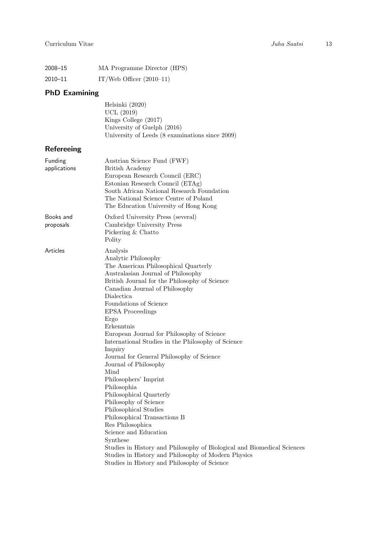| 2008-15 | MA Programme Director (HPS) |
|---------|-----------------------------|
| 2010-11 | IT/Web Officer $(2010-11)$  |

# PhD Examining

| Helsinki (2020)                                 |
|-------------------------------------------------|
| <b>UCL</b> (2019)                               |
| Kings College $(2017)$                          |
| University of Guelph (2016)                     |
| University of Leeds (8 examinations since 2009) |

# Refereeing

| Funding<br>applications | Austrian Science Fund (FWF)<br><b>British Academy</b><br>European Research Council (ERC)<br>Estonian Research Council (ETAg)<br>South African National Research Foundation<br>The National Science Centre of Poland<br>The Education University of Hong Kong                                                                                                                                                                                                                                                                                                                                                                                                                                                                                                                                                                                                                           |
|-------------------------|----------------------------------------------------------------------------------------------------------------------------------------------------------------------------------------------------------------------------------------------------------------------------------------------------------------------------------------------------------------------------------------------------------------------------------------------------------------------------------------------------------------------------------------------------------------------------------------------------------------------------------------------------------------------------------------------------------------------------------------------------------------------------------------------------------------------------------------------------------------------------------------|
| Books and<br>proposals  | Oxford University Press (several)<br>Cambridge University Press<br>Pickering & Chatto<br>Polity                                                                                                                                                                                                                                                                                                                                                                                                                                                                                                                                                                                                                                                                                                                                                                                        |
| Articles                | Analysis<br>Analytic Philosophy<br>The American Philosophical Quarterly<br>Australasian Journal of Philosophy<br>British Journal for the Philosophy of Science<br>Canadian Journal of Philosophy<br>Dialectica<br>Foundations of Science<br><b>EPSA</b> Proceedings<br>Ergo<br>Erkenntnis<br>European Journal for Philosophy of Science<br>International Studies in the Philosophy of Science<br>Inquiry<br>Journal for General Philosophy of Science<br>Journal of Philosophy<br>Mind<br>Philosophers' Imprint<br>Philosophia<br>Philosophical Quarterly<br>Philosophy of Science<br>Philosophical Studies<br>Philosophical Transactions B<br>Res Philosophica<br>Science and Education<br>Synthese<br>Studies in History and Philosophy of Biological and Biomedical Sciences<br>Studies in History and Philosophy of Modern Physics<br>Studies in History and Philosophy of Science |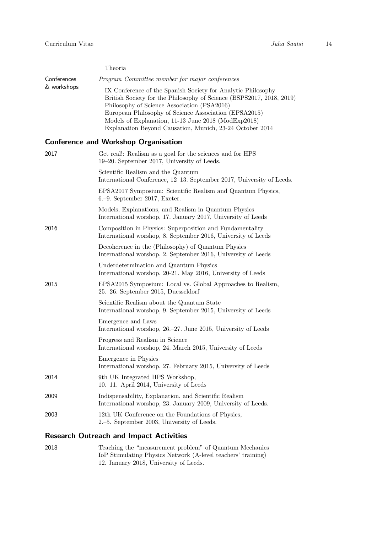|             | Theoria                                                                                                             |
|-------------|---------------------------------------------------------------------------------------------------------------------|
| Conferences | <i>Program Committee member for major conferences</i>                                                               |
| & workshops | IX Conference of the Spanish Society for Analytic Philosophy                                                        |
|             | British Society for the Philosophy of Science (BSPS2017, 2018, 2019)<br>Philosophy of Science Association (PSA2016) |
|             | European Philosophy of Science Association (EPSA2015)                                                               |
|             | Models of Explanation, 11-13 June 2018 (ModExp2018)                                                                 |
|             | Explanation Beyond Causation, Munich, 23-24 October 2014                                                            |

# Conference and Workshop Organisation

| 2017 | Get real!: Realism as a goal for the sciences and for HPS<br>19–20. September 2017, University of Leeds.                  |
|------|---------------------------------------------------------------------------------------------------------------------------|
|      | Scientific Realism and the Quantum<br>International Conference, 12-13. September 2017, University of Leeds.               |
|      | EPSA2017 Symposium: Scientific Realism and Quantum Physics,<br>6.-9. September 2017, Exeter.                              |
|      | Models, Explanations, and Realism in Quantum Physics<br>International worshop, 17. January 2017, University of Leeds      |
| 2016 | Composition in Physics: Superposition and Fundamentality<br>International worshop, 8. September 2016, University of Leeds |
|      | Decoherence in the (Philosophy) of Quantum Physics<br>International worshop, 2. September 2016, University of Leeds       |
|      | Underdetermination and Quantum Physics<br>International worshop, 20-21. May 2016, University of Leeds                     |
| 2015 | EPSA2015 Symposium: Local vs. Global Approaches to Realism,<br>25.–26. September 2015, Duesseldorf                        |
|      | Scientific Realism about the Quantum State<br>International worshop, 9. September 2015, University of Leeds               |
|      | Emergence and Laws<br>International worshop, 26.–27. June 2015, University of Leeds                                       |
|      | Progress and Realism in Science<br>International worshop, 24. March 2015, University of Leeds                             |
|      | Emergence in Physics<br>International worshop, 27. February 2015, University of Leeds                                     |
| 2014 | 9th UK Integrated HPS Workshop,<br>10.–11. April 2014, University of Leeds                                                |
| 2009 | Indispensability, Explanation, and Scientific Realism<br>International worshop, 23. January 2009, University of Leeds.    |
| 2003 | 12th UK Conference on the Foundations of Physics,<br>2.–5. September 2003, University of Leeds.                           |
|      |                                                                                                                           |

# Research Outreach and Impact Activities

| 2018 | Teaching the "measurement problem" of Quantum Mechanics      |
|------|--------------------------------------------------------------|
|      | IoP Stimulating Physics Network (A-level teachers' training) |
|      | 12. January 2018, University of Leeds.                       |